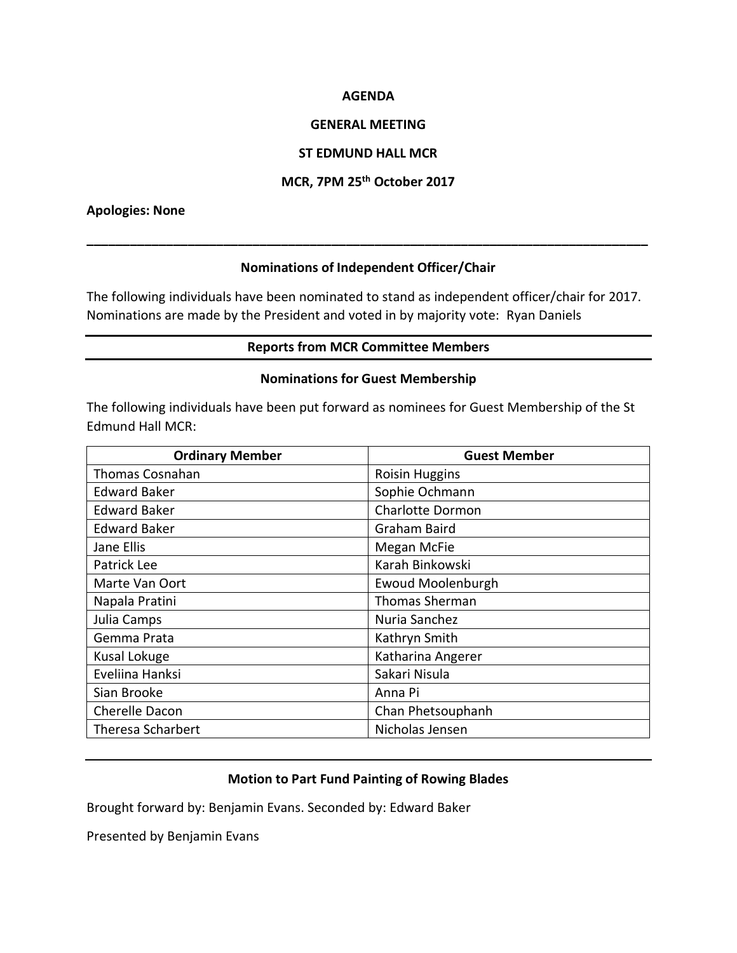### **AGENDA**

### **GENERAL MEETING**

## **ST EDMUND HALL MCR**

# **MCR, 7PM 25th October 2017**

### **Apologies: None**

## **Nominations of Independent Officer/Chair**

**\_\_\_\_\_\_\_\_\_\_\_\_\_\_\_\_\_\_\_\_\_\_\_\_\_\_\_\_\_\_\_\_\_\_\_\_\_\_\_\_\_\_\_\_\_\_\_\_\_\_\_\_\_\_\_\_\_\_\_\_\_\_\_\_\_\_\_\_\_\_\_\_\_\_\_\_\_\_**

The following individuals have been nominated to stand as independent officer/chair for 2017. Nominations are made by the President and voted in by majority vote: Ryan Daniels

## **Reports from MCR Committee Members**

#### **Nominations for Guest Membership**

The following individuals have been put forward as nominees for Guest Membership of the St Edmund Hall MCR:

| <b>Ordinary Member</b>   | <b>Guest Member</b>     |
|--------------------------|-------------------------|
| Thomas Cosnahan          | <b>Roisin Huggins</b>   |
| <b>Edward Baker</b>      | Sophie Ochmann          |
| <b>Edward Baker</b>      | <b>Charlotte Dormon</b> |
| <b>Edward Baker</b>      | Graham Baird            |
| Jane Ellis               | Megan McFie             |
| Patrick Lee              | Karah Binkowski         |
| Marte Van Oort           | Ewoud Moolenburgh       |
| Napala Pratini           | <b>Thomas Sherman</b>   |
| Julia Camps              | Nuria Sanchez           |
| Gemma Prata              | Kathryn Smith           |
| Kusal Lokuge             | Katharina Angerer       |
| Eveliina Hanksi          | Sakari Nisula           |
| Sian Brooke              | Anna Pi                 |
| Cherelle Dacon           | Chan Phetsouphanh       |
| <b>Theresa Scharbert</b> | Nicholas Jensen         |

## **Motion to Part Fund Painting of Rowing Blades**

Brought forward by: Benjamin Evans. Seconded by: Edward Baker

Presented by Benjamin Evans